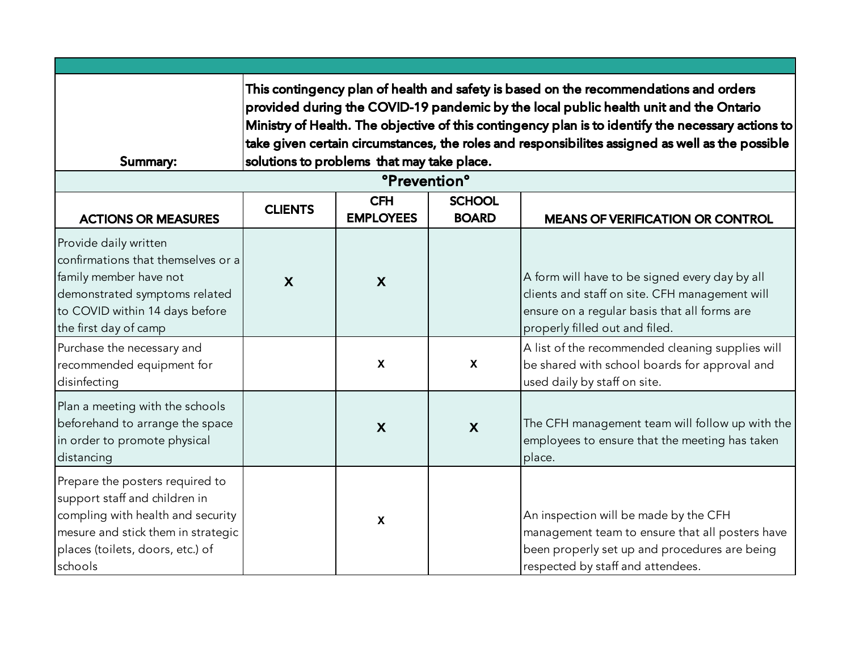| Summary:                                                                                                                                                                                   | This contingency plan of health and safety is based on the recommendations and orders<br>provided during the COVID-19 pandemic by the local public health unit and the Ontario<br>Ministry of Health. The objective of this contingency plan is to identify the necessary actions to<br>take given certain circumstances, the roles and responsibilites assigned as well as the possible<br>solutions to problems that may take place. |                           |                  |                                                                                                                                                                                    |  |
|--------------------------------------------------------------------------------------------------------------------------------------------------------------------------------------------|----------------------------------------------------------------------------------------------------------------------------------------------------------------------------------------------------------------------------------------------------------------------------------------------------------------------------------------------------------------------------------------------------------------------------------------|---------------------------|------------------|------------------------------------------------------------------------------------------------------------------------------------------------------------------------------------|--|
| <b>ACTIONS OR MEASURES</b>                                                                                                                                                                 | <b><i>Prevention</i></b><br><b>CFH</b><br><b>SCHOOL</b><br><b>CLIENTS</b><br><b>EMPLOYEES</b><br><b>BOARD</b><br><b>MEANS OF VERIFICATION OR CONTROL</b>                                                                                                                                                                                                                                                                               |                           |                  |                                                                                                                                                                                    |  |
| Provide daily written<br>confirmations that themselves or a<br>family member have not<br>demonstrated symptoms related<br>to COVID within 14 days before<br>the first day of camp          | $\mathbf{X}$                                                                                                                                                                                                                                                                                                                                                                                                                           | X                         |                  | A form will have to be signed every day by all<br>clients and staff on site. CFH management will<br>ensure on a regular basis that all forms are<br>properly filled out and filed. |  |
| Purchase the necessary and<br>recommended equipment for<br>disinfecting                                                                                                                    |                                                                                                                                                                                                                                                                                                                                                                                                                                        | $\boldsymbol{\mathsf{X}}$ | $\mathsf{X}$     | A list of the recommended cleaning supplies will<br>be shared with school boards for approval and<br>used daily by staff on site.                                                  |  |
| Plan a meeting with the schools<br>beforehand to arrange the space<br>in order to promote physical<br>distancing                                                                           |                                                                                                                                                                                                                                                                                                                                                                                                                                        | $\boldsymbol{X}$          | $\boldsymbol{X}$ | The CFH management team will follow up with the<br>employees to ensure that the meeting has taken<br>place.                                                                        |  |
| Prepare the posters required to<br>support staff and children in<br>compling with health and security<br>mesure and stick them in strategic<br>places (toilets, doors, etc.) of<br>schools |                                                                                                                                                                                                                                                                                                                                                                                                                                        | $\mathbf{x}$              |                  | An inspection will be made by the CFH<br>management team to ensure that all posters have<br>been properly set up and procedures are being<br>respected by staff and attendees.     |  |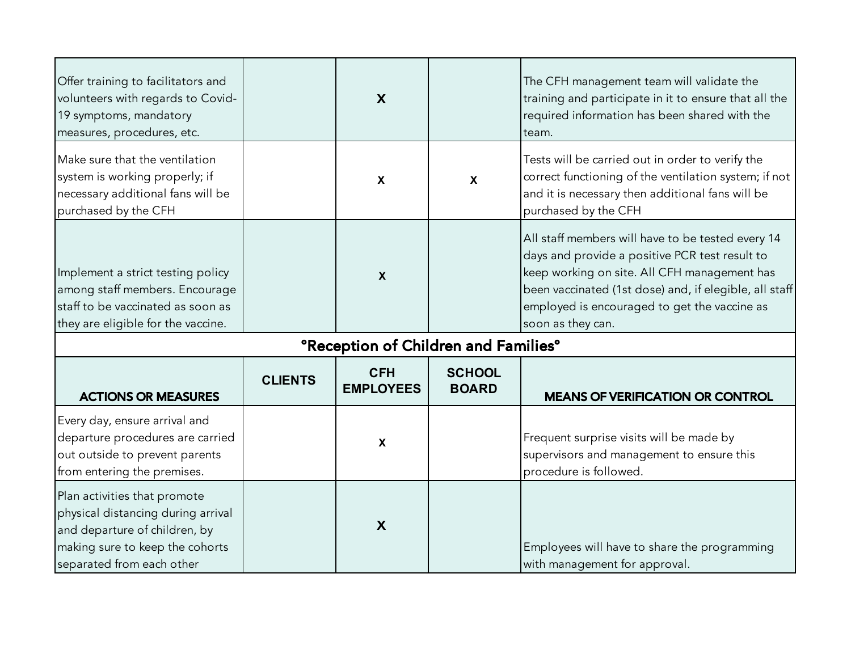| Offer training to facilitators and<br>volunteers with regards to Covid-<br>19 symptoms, mandatory<br>measures, procedures, etc.                                     |                | $\boldsymbol{\mathsf{X}}$                              |                               | The CFH management team will validate the<br>training and participate in it to ensure that all the<br>required information has been shared with the<br>team.                                                                                                                       |
|---------------------------------------------------------------------------------------------------------------------------------------------------------------------|----------------|--------------------------------------------------------|-------------------------------|------------------------------------------------------------------------------------------------------------------------------------------------------------------------------------------------------------------------------------------------------------------------------------|
| Make sure that the ventilation<br>system is working properly; if<br>necessary additional fans will be<br>purchased by the CFH                                       |                | $\boldsymbol{\mathsf{X}}$                              | $\boldsymbol{\mathsf{X}}$     | Tests will be carried out in order to verify the<br>correct functioning of the ventilation system; if not<br>and it is necessary then additional fans will be<br>purchased by the CFH                                                                                              |
| Implement a strict testing policy<br>among staff members. Encourage<br>staff to be vaccinated as soon as<br>they are eligible for the vaccine.                      |                | $\boldsymbol{\mathsf{X}}$                              |                               | All staff members will have to be tested every 14<br>days and provide a positive PCR test result to<br>keep working on site. All CFH management has<br>been vaccinated (1st dose) and, if elegible, all staff<br>employed is encouraged to get the vaccine as<br>soon as they can. |
|                                                                                                                                                                     |                | <b>ºReception of Children and Families<sup>o</sup></b> |                               |                                                                                                                                                                                                                                                                                    |
| <b>ACTIONS OR MEASURES</b>                                                                                                                                          | <b>CLIENTS</b> | <b>CFH</b><br><b>EMPLOYEES</b>                         | <b>SCHOOL</b><br><b>BOARD</b> | <b>MEANS OF VERIFICATION OR CONTROL</b>                                                                                                                                                                                                                                            |
| Every day, ensure arrival and<br>departure procedures are carried<br>out outside to prevent parents<br>from entering the premises.                                  |                | $\boldsymbol{\mathsf{X}}$                              |                               | Frequent surprise visits will be made by<br>supervisors and management to ensure this<br>procedure is followed.                                                                                                                                                                    |
| Plan activities that promote<br>physical distancing during arrival<br>and departure of children, by<br>making sure to keep the cohorts<br>separated from each other |                | X                                                      |                               | Employees will have to share the programming<br>with management for approval.                                                                                                                                                                                                      |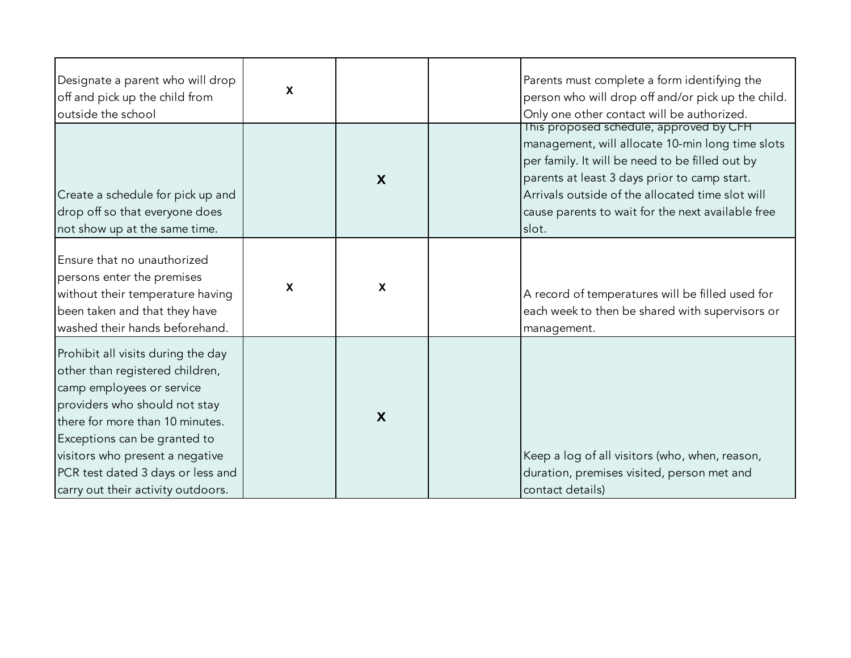| Designate a parent who will drop<br>off and pick up the child from<br>outside the school                                                                                                                                                                                                                             | $\boldsymbol{\mathsf{X}}$ |                           | Parents must complete a form identifying the<br>person who will drop off and/or pick up the child.<br>Only one other contact will be authorized.                                                                                                                                                                 |
|----------------------------------------------------------------------------------------------------------------------------------------------------------------------------------------------------------------------------------------------------------------------------------------------------------------------|---------------------------|---------------------------|------------------------------------------------------------------------------------------------------------------------------------------------------------------------------------------------------------------------------------------------------------------------------------------------------------------|
| Create a schedule for pick up and<br>drop off so that everyone does<br>not show up at the same time.                                                                                                                                                                                                                 |                           | X                         | This proposed schedule, approved by CFH<br>management, will allocate 10-min long time slots<br>per family. It will be need to be filled out by<br>parents at least 3 days prior to camp start.<br>Arrivals outside of the allocated time slot will<br>cause parents to wait for the next available free<br>slot. |
| Ensure that no unauthorized<br>persons enter the premises<br>without their temperature having<br>been taken and that they have<br>washed their hands beforehand.                                                                                                                                                     | $\boldsymbol{\mathsf{X}}$ | $\boldsymbol{\mathsf{X}}$ | A record of temperatures will be filled used for<br>each week to then be shared with supervisors or<br>management.                                                                                                                                                                                               |
| Prohibit all visits during the day<br>other than registered children,<br>camp employees or service<br>providers who should not stay<br>there for more than 10 minutes.<br>Exceptions can be granted to<br>visitors who present a negative<br>PCR test dated 3 days or less and<br>carry out their activity outdoors. |                           | X                         | Keep a log of all visitors (who, when, reason,<br>duration, premises visited, person met and<br>contact details)                                                                                                                                                                                                 |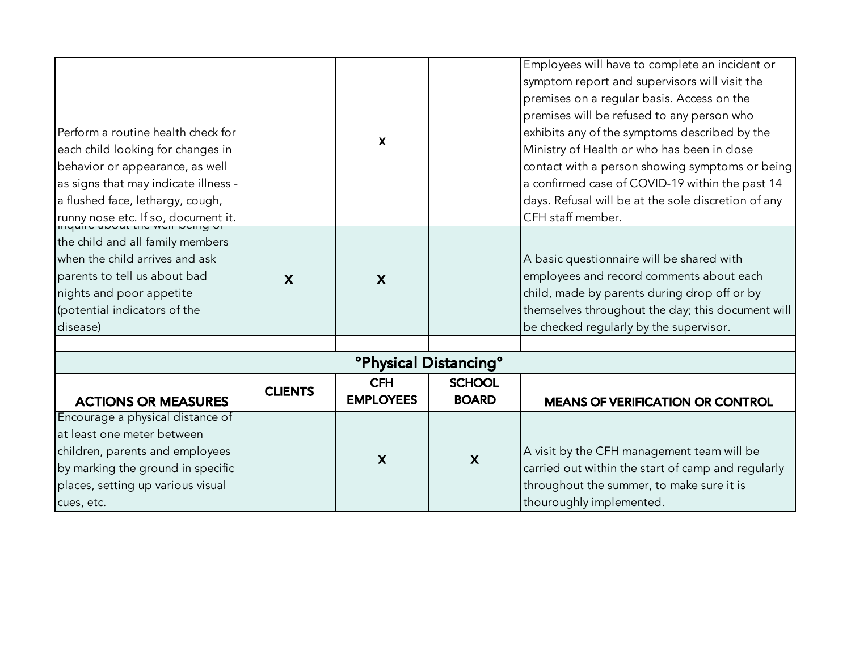| Perform a routine health check for<br>each child looking for changes in<br>behavior or appearance, as well<br>as signs that may indicate illness -                                                                |                           | $\boldsymbol{\mathsf{X}}$      |                                   | Employees will have to complete an incident or<br>symptom report and supervisors will visit the<br>premises on a regular basis. Access on the<br>premises will be refused to any person who<br>exhibits any of the symptoms described by the<br>Ministry of Health or who has been in close<br>contact with a person showing symptoms or being<br>a confirmed case of COVID-19 within the past 14 |
|-------------------------------------------------------------------------------------------------------------------------------------------------------------------------------------------------------------------|---------------------------|--------------------------------|-----------------------------------|---------------------------------------------------------------------------------------------------------------------------------------------------------------------------------------------------------------------------------------------------------------------------------------------------------------------------------------------------------------------------------------------------|
| a flushed face, lethargy, cough,                                                                                                                                                                                  |                           |                                |                                   | days. Refusal will be at the sole discretion of any<br>CFH staff member.                                                                                                                                                                                                                                                                                                                          |
| runny nose etc. If so, document it.<br>the child and all family members<br>when the child arrives and ask<br>parents to tell us about bad<br>nights and poor appetite<br>(potential indicators of the<br>disease) | $\boldsymbol{\mathsf{X}}$ | $\boldsymbol{X}$               |                                   | A basic questionnaire will be shared with<br>employees and record comments about each<br>child, made by parents during drop off or by<br>themselves throughout the day; this document will<br>be checked regularly by the supervisor.                                                                                                                                                             |
|                                                                                                                                                                                                                   |                           |                                |                                   |                                                                                                                                                                                                                                                                                                                                                                                                   |
|                                                                                                                                                                                                                   |                           |                                | <b><i>Physical Distancing</i></b> |                                                                                                                                                                                                                                                                                                                                                                                                   |
| <b>ACTIONS OR MEASURES</b>                                                                                                                                                                                        | <b>CLIENTS</b>            | <b>CFH</b><br><b>EMPLOYEES</b> | <b>SCHOOL</b><br><b>BOARD</b>     | <b>MEANS OF VERIFICATION OR CONTROL</b>                                                                                                                                                                                                                                                                                                                                                           |
| Encourage a physical distance of<br>at least one meter between<br>children, parents and employees<br>by marking the ground in specific<br>places, setting up various visual<br>cues, etc.                         |                           | $\boldsymbol{\mathsf{X}}$      | $\boldsymbol{\mathsf{X}}$         | A visit by the CFH management team will be<br>carried out within the start of camp and regularly<br>throughout the summer, to make sure it is<br>thouroughly implemented.                                                                                                                                                                                                                         |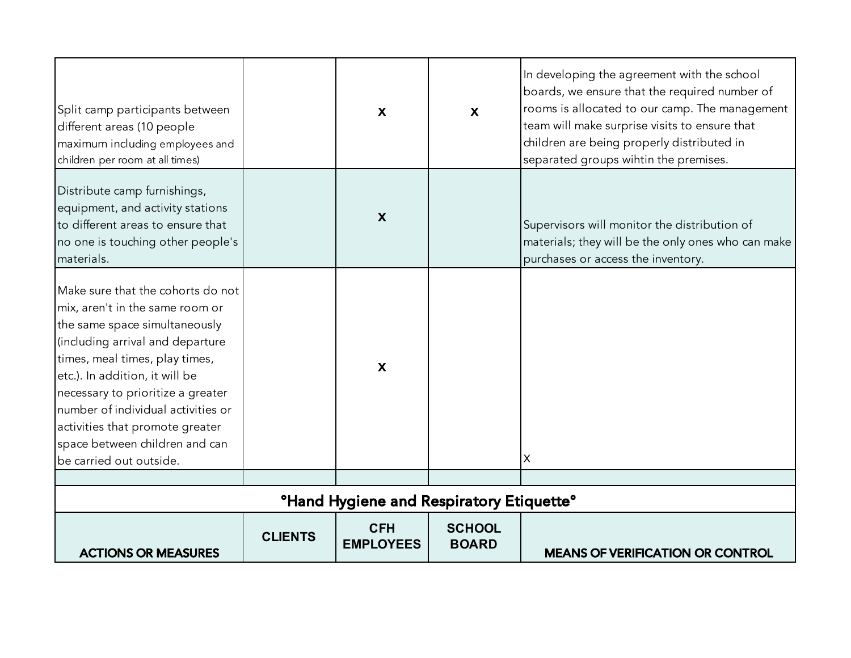| Split camp participants between<br>different areas (10 people<br>maximum including employees and<br>children per room at all times)                                                                                                                                                                                                                                                      |                | $\boldsymbol{\mathsf{X}}$      | $\boldsymbol{\mathsf{X}}$     | In developing the agreement with the school<br>boards, we ensure that the required number of<br>rooms is allocated to our camp. The management<br>team will make surprise visits to ensure that<br>children are being properly distributed in<br>separated groups wihtin the premises. |  |
|------------------------------------------------------------------------------------------------------------------------------------------------------------------------------------------------------------------------------------------------------------------------------------------------------------------------------------------------------------------------------------------|----------------|--------------------------------|-------------------------------|----------------------------------------------------------------------------------------------------------------------------------------------------------------------------------------------------------------------------------------------------------------------------------------|--|
| Distribute camp furnishings,<br>equipment, and activity stations<br>to different areas to ensure that<br>no one is touching other people's<br>materials.                                                                                                                                                                                                                                 |                | X                              |                               | Supervisors will monitor the distribution of<br>materials; they will be the only ones who can make<br>purchases or access the inventory.                                                                                                                                               |  |
| Make sure that the cohorts do not<br>mix, aren't in the same room or<br>the same space simultaneously<br>(including arrival and departure<br>times, meal times, play times,<br>etc.). In addition, it will be<br>necessary to prioritize a greater<br>number of individual activities or<br>activities that promote greater<br>space between children and can<br>be carried out outside. |                | $\boldsymbol{\mathsf{X}}$      |                               | X                                                                                                                                                                                                                                                                                      |  |
|                                                                                                                                                                                                                                                                                                                                                                                          |                |                                |                               |                                                                                                                                                                                                                                                                                        |  |
| <b>°Hand Hygiene and Respiratory Etiquette°</b>                                                                                                                                                                                                                                                                                                                                          |                |                                |                               |                                                                                                                                                                                                                                                                                        |  |
| <b>ACTIONS OR MEASURES</b>                                                                                                                                                                                                                                                                                                                                                               | <b>CLIENTS</b> | <b>CFH</b><br><b>EMPLOYEES</b> | <b>SCHOOL</b><br><b>BOARD</b> | <b>MEANS OF VERIFICATION OR CONTROL</b>                                                                                                                                                                                                                                                |  |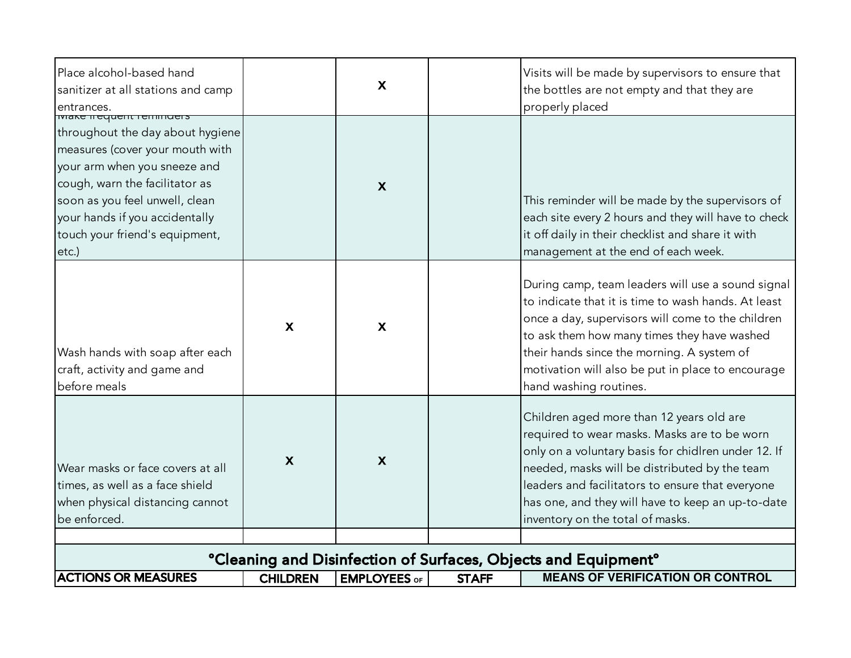| Place alcohol-based hand<br>sanitizer at all stations and camp<br>entrances.                                                                                                                                                                                                                |                           | $\boldsymbol{X}$          |              | Visits will be made by supervisors to ensure that<br>the bottles are not empty and that they are<br>properly placed                                                                                                                                                                                                                           |
|---------------------------------------------------------------------------------------------------------------------------------------------------------------------------------------------------------------------------------------------------------------------------------------------|---------------------------|---------------------------|--------------|-----------------------------------------------------------------------------------------------------------------------------------------------------------------------------------------------------------------------------------------------------------------------------------------------------------------------------------------------|
| <b>TVIANE ILEYUELIL LEITINIQEIS</b><br>throughout the day about hygiene<br>measures (cover your mouth with<br>your arm when you sneeze and<br>cough, warn the facilitator as<br>soon as you feel unwell, clean<br>your hands if you accidentally<br>touch your friend's equipment,<br>etc.) |                           | $\boldsymbol{\mathsf{X}}$ |              | This reminder will be made by the supervisors of<br>each site every 2 hours and they will have to check<br>it off daily in their checklist and share it with<br>management at the end of each week.                                                                                                                                           |
| Wash hands with soap after each<br>craft, activity and game and<br>before meals                                                                                                                                                                                                             | $\boldsymbol{\mathsf{X}}$ | $\mathbf{X}$              |              | During camp, team leaders will use a sound signal<br>to indicate that it is time to wash hands. At least<br>once a day, supervisors will come to the children<br>to ask them how many times they have washed<br>their hands since the morning. A system of<br>motivation will also be put in place to encourage<br>hand washing routines.     |
| Wear masks or face covers at all<br>times, as well as a face shield<br>when physical distancing cannot<br>be enforced.                                                                                                                                                                      | X                         | $\boldsymbol{\mathsf{X}}$ |              | Children aged more than 12 years old are<br>required to wear masks. Masks are to be worn<br>only on a voluntary basis for chidlren under 12. If<br>needed, masks will be distributed by the team<br>leaders and facilitators to ensure that everyone<br>has one, and they will have to keep an up-to-date<br>inventory on the total of masks. |
|                                                                                                                                                                                                                                                                                             |                           |                           |              |                                                                                                                                                                                                                                                                                                                                               |
|                                                                                                                                                                                                                                                                                             |                           |                           |              | <b>°Cleaning and Disinfection of Surfaces, Objects and Equipment°</b>                                                                                                                                                                                                                                                                         |
| <b>ACTIONS OR MEASURES</b>                                                                                                                                                                                                                                                                  | <b>CHILDREN</b>           | <b>EMPLOYEES OF</b>       | <b>STAFF</b> | <b>MEANS OF VERIFICATION OR CONTROL</b>                                                                                                                                                                                                                                                                                                       |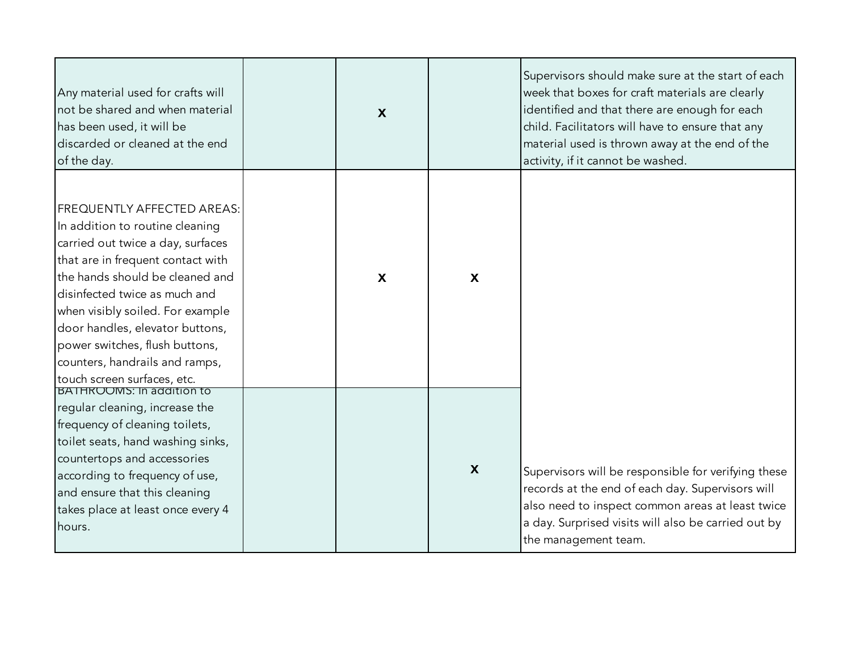| Any material used for crafts will<br>not be shared and when material<br>has been used, it will be<br>discarded or cleaned at the end<br>of the day.                                                                                                                                                                                                                                          | $\boldsymbol{X}$          |                           | Supervisors should make sure at the start of each<br>week that boxes for craft materials are clearly<br>identified and that there are enough for each<br>child. Facilitators will have to ensure that any<br>material used is thrown away at the end of the<br>activity, if it cannot be washed. |
|----------------------------------------------------------------------------------------------------------------------------------------------------------------------------------------------------------------------------------------------------------------------------------------------------------------------------------------------------------------------------------------------|---------------------------|---------------------------|--------------------------------------------------------------------------------------------------------------------------------------------------------------------------------------------------------------------------------------------------------------------------------------------------|
| <b>FREQUENTLY AFFECTED AREAS:</b><br>In addition to routine cleaning<br>carried out twice a day, surfaces<br>that are in frequent contact with<br>the hands should be cleaned and<br>disinfected twice as much and<br>when visibly soiled. For example<br>door handles, elevator buttons,<br>power switches, flush buttons,<br>counters, handrails and ramps,<br>touch screen surfaces, etc. | $\boldsymbol{\mathsf{X}}$ | $\boldsymbol{\mathsf{X}}$ |                                                                                                                                                                                                                                                                                                  |
| BATHROOMS: In addition to<br>regular cleaning, increase the<br>frequency of cleaning toilets,<br>toilet seats, hand washing sinks,<br>countertops and accessories<br>according to frequency of use,<br>and ensure that this cleaning<br>takes place at least once every 4<br>hours.                                                                                                          |                           | $\boldsymbol{\mathsf{X}}$ | Supervisors will be responsible for verifying these<br>records at the end of each day. Supervisors will<br>also need to inspect common areas at least twice<br>a day. Surprised visits will also be carried out by<br>the management team.                                                       |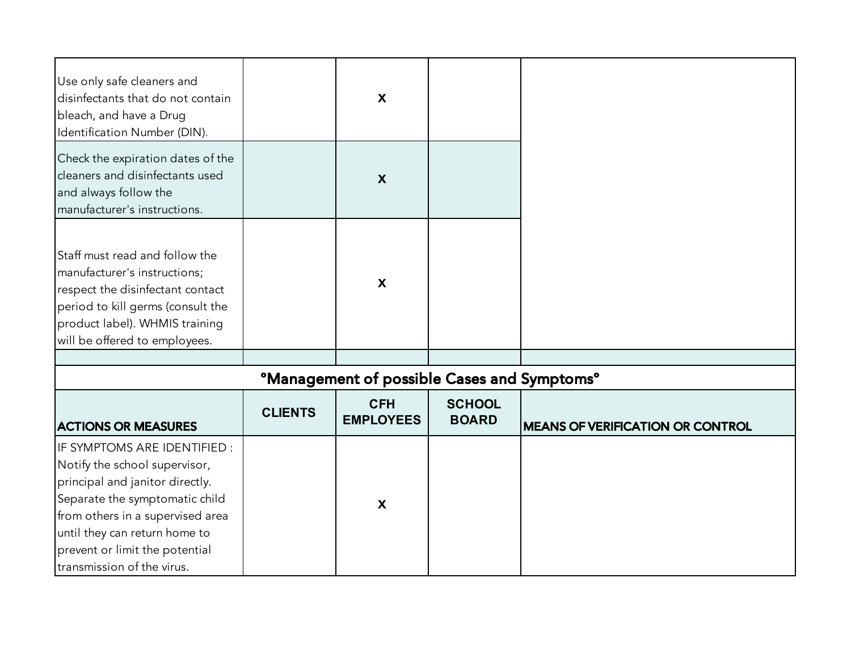| Use only safe cleaners and<br>disinfectants that do not contain<br>bleach, and have a Drug<br>Identification Number (DIN).                                                                                                                                              |                | $\mathbf{X}$                                                  |                               |                                         |
|-------------------------------------------------------------------------------------------------------------------------------------------------------------------------------------------------------------------------------------------------------------------------|----------------|---------------------------------------------------------------|-------------------------------|-----------------------------------------|
| Check the expiration dates of the<br>cleaners and disinfectants used<br>and always follow the<br>manufacturer's instructions.                                                                                                                                           |                | X                                                             |                               |                                         |
| Staff must read and follow the<br>manufacturer's instructions;<br>respect the disinfectant contact<br>period to kill germs (consult the<br>product label). WHMIS training<br>will be offered to employees.                                                              |                | $\boldsymbol{\mathsf{X}}$                                     |                               |                                         |
|                                                                                                                                                                                                                                                                         |                |                                                               |                               |                                         |
|                                                                                                                                                                                                                                                                         |                | <b>ºManagement of possible Cases and Symptoms<sup>o</sup></b> |                               |                                         |
| <b>ACTIONS OR MEASURES</b>                                                                                                                                                                                                                                              | <b>CLIENTS</b> | <b>CFH</b><br><b>EMPLOYEES</b>                                | <b>SCHOOL</b><br><b>BOARD</b> | <b>MEANS OF VERIFICATION OR CONTROL</b> |
| IF SYMPTOMS ARE IDENTIFIED :<br>Notify the school supervisor,<br>principal and janitor directly.<br>Separate the symptomatic child<br>from others in a supervised area<br>until they can return home to<br>prevent or limit the potential<br>transmission of the virus. |                | $\boldsymbol{\mathsf{X}}$                                     |                               |                                         |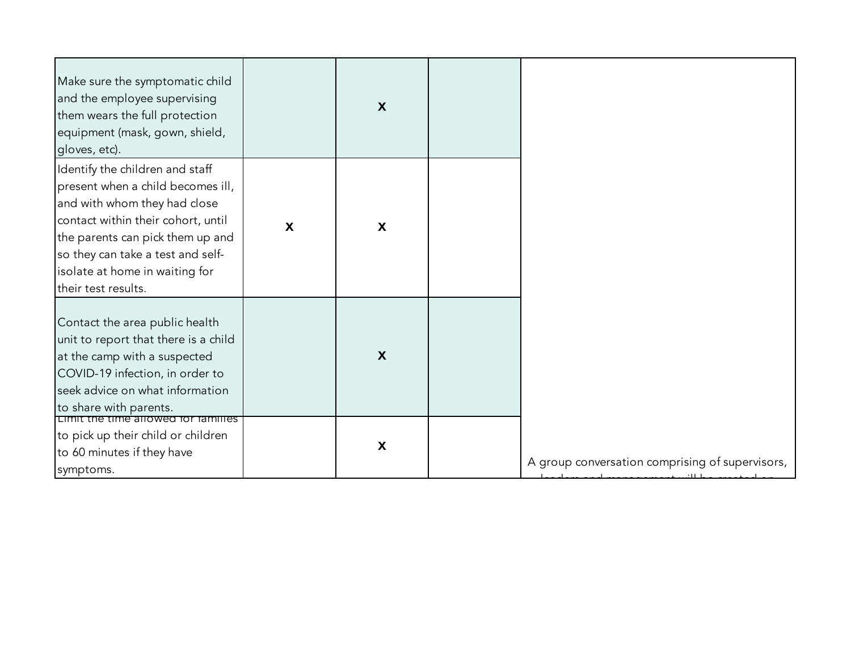| Make sure the symptomatic child<br>and the employee supervising<br>them wears the full protection<br>equipment (mask, gown, shield,<br>gloves, etc).                                                                                                                         |                           | $\boldsymbol{\mathsf{X}}$ |                                                 |
|------------------------------------------------------------------------------------------------------------------------------------------------------------------------------------------------------------------------------------------------------------------------------|---------------------------|---------------------------|-------------------------------------------------|
| Identify the children and staff<br>present when a child becomes ill,<br>and with whom they had close<br>contact within their cohort, until<br>the parents can pick them up and<br>so they can take a test and self-<br>isolate at home in waiting for<br>their test results. | $\boldsymbol{\mathsf{X}}$ | $\mathsf{X}$              |                                                 |
| Contact the area public health<br>unit to report that there is a child<br>at the camp with a suspected<br>COVID-19 infection, in order to<br>seek advice on what information<br>to share with parents.                                                                       |                           | $\boldsymbol{X}$          |                                                 |
| Limit the time allowed for families<br>to pick up their child or children<br>to 60 minutes if they have<br>symptoms.                                                                                                                                                         |                           | $\boldsymbol{\mathsf{X}}$ | A group conversation comprising of supervisors, |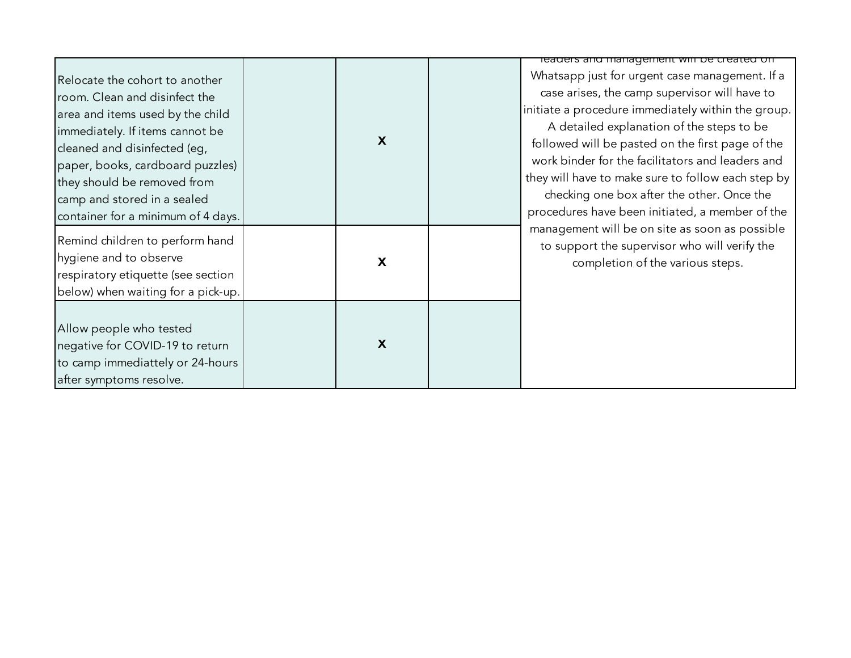|                                                                                                                                                                                                                                                                                                                |                           |                                                                                                                                                                                                                                                                                                                                                                                                                                                                   | readers and management will be created on                                                                                           |
|----------------------------------------------------------------------------------------------------------------------------------------------------------------------------------------------------------------------------------------------------------------------------------------------------------------|---------------------------|-------------------------------------------------------------------------------------------------------------------------------------------------------------------------------------------------------------------------------------------------------------------------------------------------------------------------------------------------------------------------------------------------------------------------------------------------------------------|-------------------------------------------------------------------------------------------------------------------------------------|
| Relocate the cohort to another<br>room. Clean and disinfect the<br>area and items used by the child<br>immediately. If items cannot be<br>cleaned and disinfected (eg,<br>paper, books, cardboard puzzles)<br>they should be removed from<br>camp and stored in a sealed<br>container for a minimum of 4 days. | $\boldsymbol{\mathsf{X}}$ | Whatsapp just for urgent case management. If a<br>case arises, the camp supervisor will have to<br>initiate a procedure immediately within the group.<br>A detailed explanation of the steps to be<br>followed will be pasted on the first page of the<br>work binder for the facilitators and leaders and<br>they will have to make sure to follow each step by<br>checking one box after the other. Once the<br>procedures have been initiated, a member of the |                                                                                                                                     |
| Remind children to perform hand<br>hygiene and to observe<br>respiratory etiquette (see section<br>below) when waiting for a pick-up.                                                                                                                                                                          |                           | X                                                                                                                                                                                                                                                                                                                                                                                                                                                                 | management will be on site as soon as possible<br>to support the supervisor who will verify the<br>completion of the various steps. |
| Allow people who tested<br>negative for COVID-19 to return<br>to camp immediattely or 24-hours<br>after symptoms resolve.                                                                                                                                                                                      |                           | X                                                                                                                                                                                                                                                                                                                                                                                                                                                                 |                                                                                                                                     |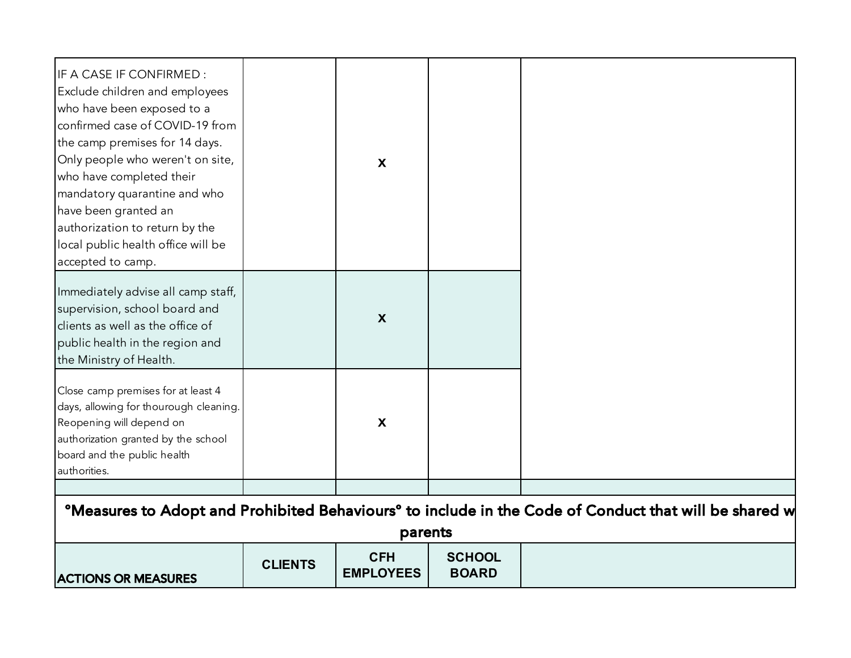| IF A CASE IF CONFIRMED:<br>Exclude children and employees<br>who have been exposed to a<br>confirmed case of COVID-19 from<br>the camp premises for 14 days.<br>Only people who weren't on site,<br>who have completed their<br>mandatory quarantine and who<br>have been granted an<br>authorization to return by the<br>local public health office will be<br>accepted to camp. |                                                                                                                               | $\boldsymbol{\mathsf{X}}$      |                               |  |  |  |
|-----------------------------------------------------------------------------------------------------------------------------------------------------------------------------------------------------------------------------------------------------------------------------------------------------------------------------------------------------------------------------------|-------------------------------------------------------------------------------------------------------------------------------|--------------------------------|-------------------------------|--|--|--|
| Immediately advise all camp staff,<br>supervision, school board and<br>clients as well as the office of<br>public health in the region and<br>the Ministry of Health.                                                                                                                                                                                                             |                                                                                                                               | $\boldsymbol{X}$               |                               |  |  |  |
| Close camp premises for at least 4<br>days, allowing for thourough cleaning.<br>Reopening will depend on<br>authorization granted by the school<br>board and the public health<br>authorities.                                                                                                                                                                                    |                                                                                                                               | X                              |                               |  |  |  |
|                                                                                                                                                                                                                                                                                                                                                                                   | <sup>o</sup> Measures to Adopt and Prohibited Behaviours <sup>o</sup> to include in the Code of Conduct that will be shared w |                                |                               |  |  |  |
|                                                                                                                                                                                                                                                                                                                                                                                   |                                                                                                                               | parents                        |                               |  |  |  |
| <b>ACTIONS OR MEASURES</b>                                                                                                                                                                                                                                                                                                                                                        | <b>CLIENTS</b>                                                                                                                | <b>CFH</b><br><b>EMPLOYEES</b> | <b>SCHOOL</b><br><b>BOARD</b> |  |  |  |